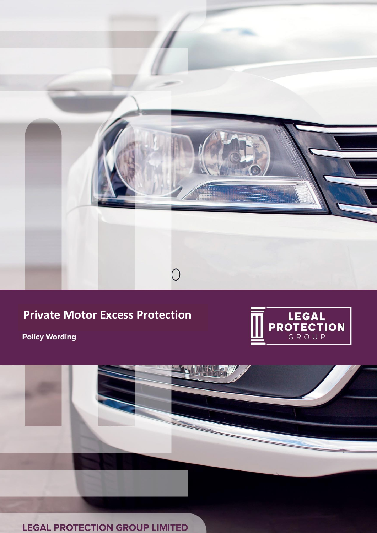

# **Private Motor Excess Protection**



**Policy Wording** 



HUH

**LEGAL PROTECTION GROUP LIMITED**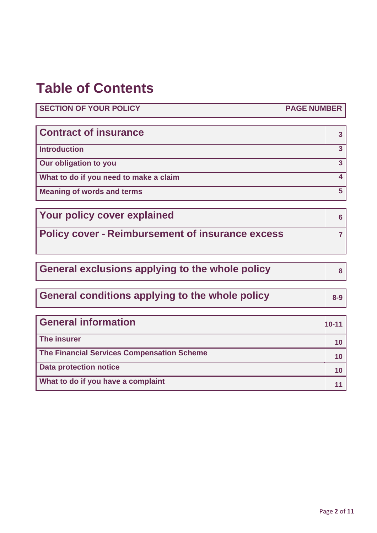# **Table of Contents**

**SECTION OF YOUR POLICY PAGE NUMBER**

| <b>Contract of insurance</b>           |  |
|----------------------------------------|--|
| <b>Introduction</b>                    |  |
| Our obligation to you                  |  |
| What to do if you need to make a claim |  |
| <b>Meaning of words and terms</b>      |  |

**Your policy cover explained <sup>6</sup>**

**Policy cover - Reimbursement of insurance excess <sup>7</sup>**

General exclusions applying to the whole policy **8** 

**General conditions applying to the whole policy 8-9**

**General information 10-11 10-11 The insurer <sup>10</sup> The Financial Services Compensation Scheme <sup>10</sup> Data protection notice 10 What to do if you have a complaint <sup>11</sup>**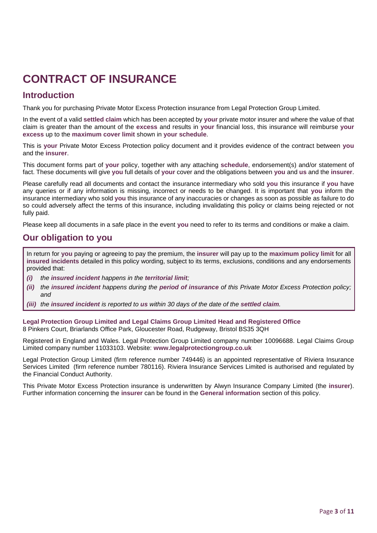# **CONTRACT OF INSURANCE**

## **Introduction**

Thank you for purchasing Private Motor Excess Protection insurance from Legal Protection Group Limited.

In the event of a valid **settled claim** which has been accepted by **your** private motor insurer and where the value of that claim is greater than the amount of the **excess** and results in **your** financial loss, this insurance will reimburse **your excess** up to the **maximum cover limit** shown in **your schedule**.

This is **your** Private Motor Excess Protection policy document and it provides evidence of the contract between **you** and the **insurer**.

This document forms part of **your** policy, together with any attaching **schedule**, endorsement(s) and/or statement of fact. These documents will give **you** full details of **your** cover and the obligations between **you** and **us** and the **insurer**.

Please carefully read all documents and contact the insurance intermediary who sold **you** this insurance if **you** have any queries or if any information is missing, incorrect or needs to be changed. It is important that **you** inform the insurance intermediary who sold **you** this insurance of any inaccuracies or changes as soon as possible as failure to do so could adversely affect the terms of this insurance, including invalidating this policy or claims being rejected or not fully paid.

Please keep all documents in a safe place in the event **you** need to refer to its terms and conditions or make a claim.

## **Our obligation to you**

In return for **you** paying or agreeing to pay the premium, the **insurer** will pay up to the **maximum policy limit** for all **insured incidents** detailed in this policy wording, subject to its terms, exclusions, conditions and any endorsements provided that:

- *(i) the insured incident happens in the territorial limit;*
- *(ii) the insured incident happens during the period of insurance of this Private Motor Excess Protection policy; and*
- *(iii) the insured incident is reported to us within 30 days of the date of the settled claim.*

**Legal Protection Group Limited and Legal Claims Group Limited Head and Registered Office** 8 Pinkers Court, Briarlands Office Park, Gloucester Road, Rudgeway, Bristol BS35 3QH

Registered in England and Wales. Legal Protection Group Limited company number 10096688. Legal Claims Group Limited company number 11033103. Website: **[www.legalprotectiongroup.co.uk](http://www.legalprotectiongroup.co.uk/)**

Legal Protection Group Limited (firm reference number 749446) is an appointed representative of Riviera Insurance Services Limited (firm reference number 780116). Riviera Insurance Services Limited is authorised and regulated by the Financial Conduct Authority.

This Private Motor Excess Protection insurance is underwritten by Alwyn Insurance Company Limited (the **insurer**). Further information concerning the **insurer** can be found in the **General information** section of this policy.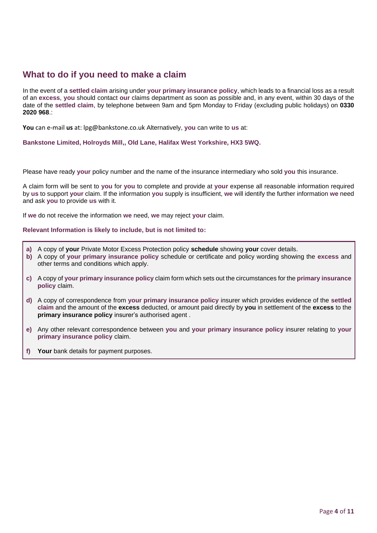## **What to do if you need to make a claim**

In the event of a **settled claim** arising under **your primary insurance policy**, which leads to a financial loss as a result of an **excess**, **you** should contact **our** claims department as soon as possible and, in any event, within 30 days of the date of the **settled claim**, by telephone between 9am and 5pm Monday to Friday (excluding public holidays) on **0330 2020 968**.:

**You** can e-mail **us** at: lpg@bankstone.co.uk Alternatively, **you** can write to **us** at:

**Bankstone Limited, Holroyds Mill,, Old Lane, Halifax West Yorkshire, HX3 5WQ.**

Please have ready **your** policy number and the name of the insurance intermediary who sold **you** this insurance.

A claim form will be sent to **you** for **you** to complete and provide at **your** expense all reasonable information required by **us** to support **your** claim. If the information **you** supply is insufficient, **we** will identify the further information **we** need and ask **you** to provide **us** with it.

If **we** do not receive the information **we** need, **we** may reject **your** claim.

**Relevant Information is likely to include, but is not limited to:**

- **a)** A copy of **your** Private Motor Excess Protection policy **schedule** showing **your** cover details.
- **b)** A copy of **your primary insurance policy** schedule or certificate and policy wording showing the **excess** and other terms and conditions which apply.
- **c)** A copy of **your primary insurance policy** claim form which sets out the circumstances for the **primary insurance policy** claim.
- **d)** A copy of correspondence from **your primary insurance policy** insurer which provides evidence of the **settled claim** and the amount of the **excess** deducted, or amount paid directly by **you** in settlement of the **excess** to the **primary insurance policy** insurer's authorised agent .
- **e)** Any other relevant correspondence between **you** and **your primary insurance policy** insurer relating to **your primary insurance policy** claim.
- **f) Your** bank details for payment purposes.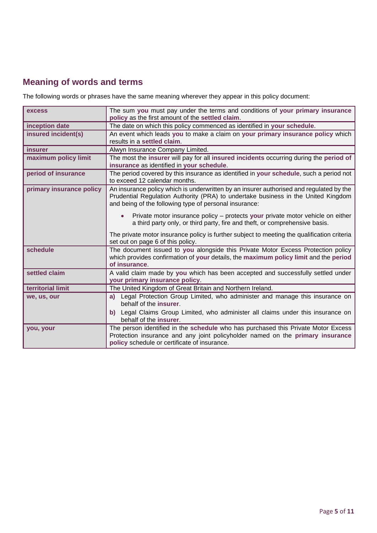## **Meaning of words and terms**

The following words or phrases have the same meaning wherever they appear in this policy document:

| excess                   | The sum you must pay under the terms and conditions of your primary insurance<br>policy as the first amount of the settled claim.                                                                                                      |
|--------------------------|----------------------------------------------------------------------------------------------------------------------------------------------------------------------------------------------------------------------------------------|
| inception date           | The date on which this policy commenced as identified in your schedule.                                                                                                                                                                |
| insured incident(s)      | An event which leads you to make a claim on your primary insurance policy which<br>results in a settled claim.                                                                                                                         |
| <i>insurer</i>           | Alwyn Insurance Company Limited.                                                                                                                                                                                                       |
| maximum policy limit     | The most the insurer will pay for all insured incidents occurring during the period of<br>insurance as identified in your schedule.                                                                                                    |
| period of insurance      | The period covered by this insurance as identified in your schedule, such a period not<br>to exceed 12 calendar months.                                                                                                                |
| primary insurance policy | An insurance policy which is underwritten by an insurer authorised and regulated by the<br>Prudential Regulation Authority (PRA) to undertake business in the United Kingdom<br>and being of the following type of personal insurance: |
|                          | Private motor insurance policy - protects your private motor vehicle on either<br>$\bullet$<br>a third party only, or third party, fire and theft, or comprehensive basis.                                                             |
|                          | The private motor insurance policy is further subject to meeting the qualification criteria<br>set out on page 6 of this policy.                                                                                                       |
| schedule                 | The document issued to you alongside this Private Motor Excess Protection policy<br>which provides confirmation of your details, the maximum policy limit and the period<br>of insurance.                                              |
| settled claim            | A valid claim made by you which has been accepted and successfully settled under<br>your primary insurance policy.                                                                                                                     |
| territorial limit        | The United Kingdom of Great Britain and Northern Ireland.                                                                                                                                                                              |
| we, us, our              | Legal Protection Group Limited, who administer and manage this insurance on<br>a)<br>behalf of the insurer.                                                                                                                            |
|                          | Legal Claims Group Limited, who administer all claims under this insurance on<br>b)<br>behalf of the insurer.                                                                                                                          |
| you, your                | The person identified in the schedule who has purchased this Private Motor Excess<br>Protection insurance and any joint policyholder named on the primary insurance<br>policy schedule or certificate of insurance.                    |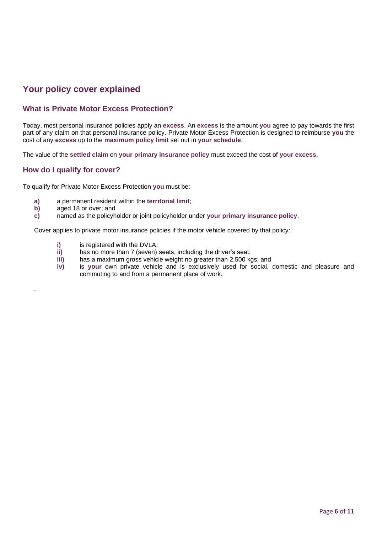## **Your policy cover explained**

## **What is Private Motor Excess Protection?**

Today, most personal insurance policies apply an **excess**. An **excess** is the amount **you** agree to pay towards the first part of any claim on that personal insurance policy. Private Motor Excess Protection is designed to reimburse **you** the cost of any **excess** up to the **maximum policy limit** set out in **your schedule**.

The value of the **settled claim** on **your primary insurance policy** must exceed the cost of **your excess**.

## **How do I qualify for cover?**

To qualify for Private Motor Excess Protection **you** must be:

- **a)** a permanent resident within the **territorial limit**;
- **b)** aged 18 or over; and

.

**c)** named as the policyholder or joint policyholder under **your primary insurance policy**.

Cover applies to private motor insurance policies if the motor vehicle covered by that policy:

- **i)** is registered with the DVLA;
- **ii)** has no more than 7 (seven) seats, including the driver's seat;
- **iii)** has a maximum gross vehicle weight no greater than 2,500 kgs; and
- **iv)** is **your** own private vehicle and is exclusively used for social, domestic and pleasure and commuting to and from a permanent place of work.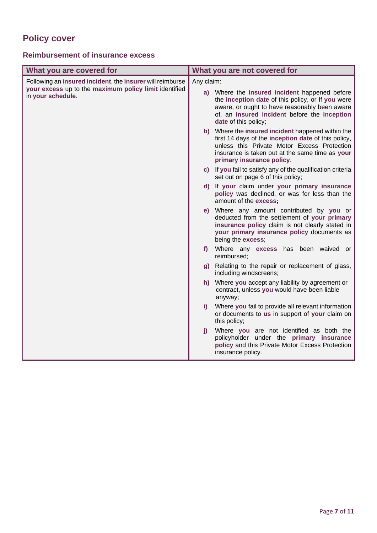## **Policy cover**

## **Reimbursement of insurance excess**

| What you are covered for                                                                                                                | What you are not covered for                                                                                                                                                                                                           |  |
|-----------------------------------------------------------------------------------------------------------------------------------------|----------------------------------------------------------------------------------------------------------------------------------------------------------------------------------------------------------------------------------------|--|
| Following an insured incident, the insurer will reimburse<br>your excess up to the maximum policy limit identified<br>in your schedule. | Any claim:                                                                                                                                                                                                                             |  |
|                                                                                                                                         | a) Where the insured incident happened before<br>the inception date of this policy, or If you were<br>aware, or ought to have reasonably been aware<br>of, an insured incident before the inception<br>date of this policy;            |  |
|                                                                                                                                         | b) Where the insured incident happened within the<br>first 14 days of the inception date of this policy,<br>unless this Private Motor Excess Protection<br>insurance is taken out at the same time as your<br>primary insurance policy |  |
|                                                                                                                                         | c) If you fail to satisfy any of the qualification criteria<br>set out on page 6 of this policy;                                                                                                                                       |  |
|                                                                                                                                         | d) If your claim under your primary insurance<br>policy was declined, or was for less than the<br>amount of the excess;                                                                                                                |  |
|                                                                                                                                         | e) Where any amount contributed by you or<br>deducted from the settlement of your primary<br>insurance policy claim is not clearly stated in<br>your primary insurance policy documents as<br>being the excess;                        |  |
|                                                                                                                                         | f) Where any excess has been waived or<br>reimbursed;                                                                                                                                                                                  |  |
|                                                                                                                                         | g) Relating to the repair or replacement of glass,<br>including windscreens;                                                                                                                                                           |  |
|                                                                                                                                         | h) Where you accept any liability by agreement or<br>contract, unless you would have been liable<br>anyway;                                                                                                                            |  |
|                                                                                                                                         | Where you fail to provide all relevant information<br>D.<br>or documents to us in support of your claim on<br>this policy;                                                                                                             |  |
|                                                                                                                                         | Where you are not identified as both the<br>j)<br>policyholder under the primary insurance<br>policy and this Private Motor Excess Protection<br>insurance policy.                                                                     |  |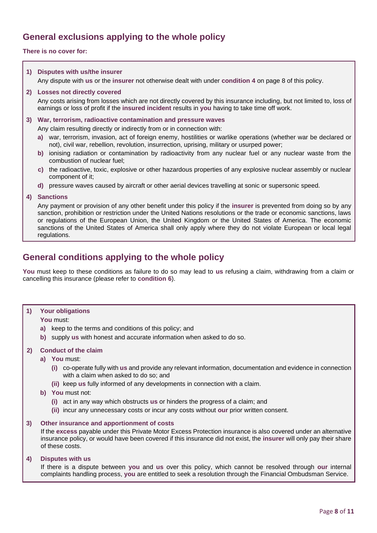## **General exclusions applying to the whole policy**

## **There is no cover for:**

## **1) Disputes with us/the insurer**

Any dispute with **us** or the **insurer** not otherwise dealt with under **condition 4** on page 8 of this policy.

### **2) Losses not directly covered**

Any costs arising from losses which are not directly covered by this insurance including, but not limited to, loss of earnings or loss of profit if the **insured incident** results in **you** having to take time off work.

## **3) War, terrorism, radioactive contamination and pressure waves**

Any claim resulting directly or indirectly from or in connection with:

- **a)** war, terrorism, invasion, act of foreign enemy, hostilities or warlike operations (whether war be declared or not), civil war, rebellion, revolution, insurrection, uprising, military or usurped power;
- **b)** ionising radiation or contamination by radioactivity from any nuclear fuel or any nuclear waste from the combustion of nuclear fuel;
- **c)** the radioactive, toxic, explosive or other hazardous properties of any explosive nuclear assembly or nuclear component of it;
- **d)** pressure waves caused by aircraft or other aerial devices travelling at sonic or supersonic speed.

#### **4) Sanctions**

Any payment or provision of any other benefit under this policy if the **insurer** is prevented from doing so by any sanction, prohibition or restriction under the United Nations resolutions or the trade or economic sanctions, laws or regulations of the European Union, the United Kingdom or the United States of America. The economic sanctions of the United States of America shall only apply where they do not violate European or local legal regulations.

## **General conditions applying to the whole policy**

**You** must keep to these conditions as failure to do so may lead to **us** refusing a claim, withdrawing from a claim or cancelling this insurance (please refer to **condition 6**).

### **1) Your obligations**

### **You** must:

- **a)** keep to the terms and conditions of this policy; and
- **b)** supply **us** with honest and accurate information when asked to do so.

### **2) Conduct of the claim**

- **a) You** must:
	- **(i)** co-operate fully with **us** and provide any relevant information, documentation and evidence in connection with a claim when asked to do so; and
	- **(ii)** keep **us** fully informed of any developments in connection with a claim.

### **b) You** must not:

- **(i)** act in any way which obstructs **us** or hinders the progress of a claim; and
- **(ii)** incur any unnecessary costs or incur any costs without **our** prior written consent.

### **3) Other insurance and apportionment of costs**

If the **excess** payable under this Private Motor Excess Protection insurance is also covered under an alternative insurance policy, or would have been covered if this insurance did not exist, the **insurer** will only pay their share of these costs.

## **4) Disputes with us**

If there is a dispute between **you** and **us** over this policy, which cannot be resolved through **our** internal complaints handling process, **you** are entitled to seek a resolution through the Financial Ombudsman Service.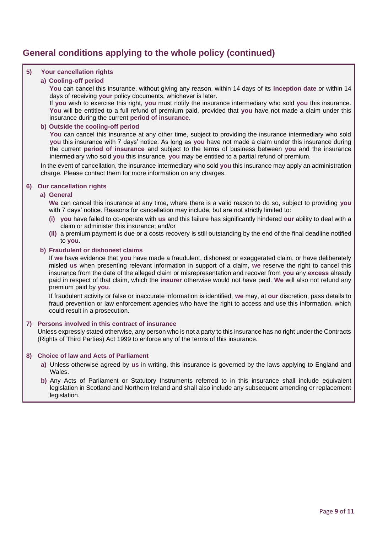## **General conditions applying to the whole policy (continued)**

## **5) Your cancellation rights**

## **a) Cooling-off period**

**You** can cancel this insurance, without giving any reason, within 14 days of its **inception date** or within 14 days of receiving **your** policy documents, whichever is later.

If **you** wish to exercise this right, **you** must notify the insurance intermediary who sold **you** this insurance. **You** will be entitled to a full refund of premium paid, provided that **you** have not made a claim under this insurance during the current **period of insurance**.

## **b) Outside the cooling-off period**

You can cancel this insurance at any other time, subject to providing the insurance intermediary who sold **you** this insurance with 7 days' notice. As long as **you** have not made a claim under this insurance during the current **period of insurance** and subject to the terms of business between **you** and the insurance intermediary who sold **you** this insurance, **you** may be entitled to a partial refund of premium.

In the event of cancellation, the insurance intermediary who sold **you** this insurance may apply an administration charge. Please contact them for more information on any charges.

## **6) Our cancellation rights**

### **a) General**

**We** can cancel this insurance at any time, where there is a valid reason to do so, subject to providing **you** with 7 days' notice. Reasons for cancellation may include, but are not strictly limited to:

- **(i) you** have failed to co-operate with **us** and this failure has significantly hindered **our** ability to deal with a claim or administer this insurance; and/or
- **(ii)** a premium payment is due or a costs recovery is still outstanding by the end of the final deadline notified to **you**.

### **b) Fraudulent or dishonest claims**

If **we** have evidence that **you** have made a fraudulent, dishonest or exaggerated claim, or have deliberately misled **us** when presenting relevant information in support of a claim, **we** reserve the right to cancel this insurance from the date of the alleged claim or misrepresentation and recover from **you** any **excess** already paid in respect of that claim, which the **insurer** otherwise would not have paid. **We** will also not refund any premium paid by **you**.

If fraudulent activity or false or inaccurate information is identified, **we** may, at **our** discretion, pass details to fraud prevention or law enforcement agencies who have the right to access and use this information, which could result in a prosecution.

## **7) Persons involved in this contract of insurance**

Unless expressly stated otherwise, any person who is not a party to this insurance has no right under the Contracts (Rights of Third Parties) Act 1999 to enforce any of the terms of this insurance.

### **8) Choice of law and Acts of Parliament**

- **a)** Unless otherwise agreed by **us** in writing, this insurance is governed by the laws applying to England and **Wales**
- **b)** Any Acts of Parliament or Statutory Instruments referred to in this insurance shall include equivalent legislation in Scotland and Northern Ireland and shall also include any subsequent amending or replacement legislation.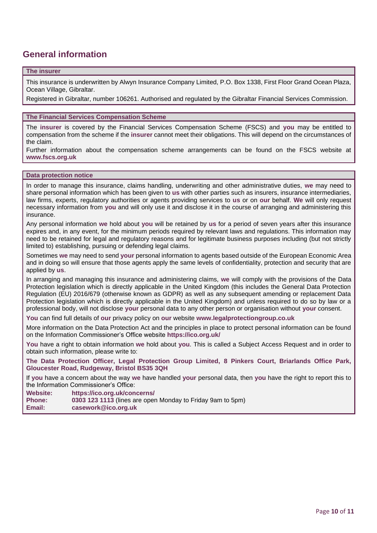## **General information**

### **The insurer**

This insurance is underwritten by Alwyn Insurance Company Limited, P.O. Box 1338, First Floor Grand Ocean Plaza, Ocean Village, Gibraltar.

Registered in Gibraltar, number 106261. Authorised and regulated by the Gibraltar Financial Services Commission.

## **The Financial Services Compensation Scheme**

The **insurer** is covered by the Financial Services Compensation Scheme (FSCS) and **you** may be entitled to compensation from the scheme if the **insurer** cannot meet their obligations. This will depend on the circumstances of the claim.

Further information about the compensation scheme arrangements can be found on the FSCS website at **[www.fscs.org.uk](http://www.fscs.org.uk/)**

### **Data protection notice**

In order to manage this insurance, claims handling, underwriting and other administrative duties, **we** may need to share personal information which has been given to **us** with other parties such as insurers, insurance intermediaries, law firms, experts, regulatory authorities or agents providing services to **us** or on **our** behalf. **We** will only request necessary information from **you** and will only use it and disclose it in the course of arranging and administering this insurance.

Any personal information **we** hold about **you** will be retained by **us** for a period of seven years after this insurance expires and, in any event, for the minimum periods required by relevant laws and regulations. This information may need to be retained for legal and regulatory reasons and for legitimate business purposes including (but not strictly limited to) establishing, pursuing or defending legal claims.

Sometimes **we** may need to send **your** personal information to agents based outside of the European Economic Area and in doing so will ensure that those agents apply the same levels of confidentiality, protection and security that are applied by **us**.

In arranging and managing this insurance and administering claims, **we** will comply with the provisions of the Data Protection legislation which is directly applicable in the United Kingdom (this includes the General Data Protection Regulation (EU) 2016/679 (otherwise known as GDPR) as well as any subsequent amending or replacement Data Protection legislation which is directly applicable in the United Kingdom) and unless required to do so by law or a professional body, will not disclose **your** personal data to any other person or organisation without **your** consent.

**You** can find full details of **our** privacy policy on **our** website **[www.legalprotectiongroup.co.uk](http://www.legalprotectiongroup.co.uk/)**

More information on the Data Protection Act and the principles in place to protect personal information can be found on the Information Commissioner's Office website **<https://ico.org.uk/>**

**You** have a right to obtain information **we** hold about **you**. This is called a Subject Access Request and in order to obtain such information, please write to:

**The Data Protection Officer, Legal Protection Group Limited, 8 Pinkers Court, Briarlands Office Park, Gloucester Road, Rudgeway, Bristol BS35 3QH** 

If **you** have a concern about the way **we** have handled **your** personal data, then **you** have the right to report this to the Information Commissioner's Office:

**Website: <https://ico.org.uk/concerns/>**

**Phone: 0303 123 1113** (lines are open Monday to Friday 9am to 5pm) **Email: [casework@ico.org.uk](mailto:casework@ico.org.uk)**